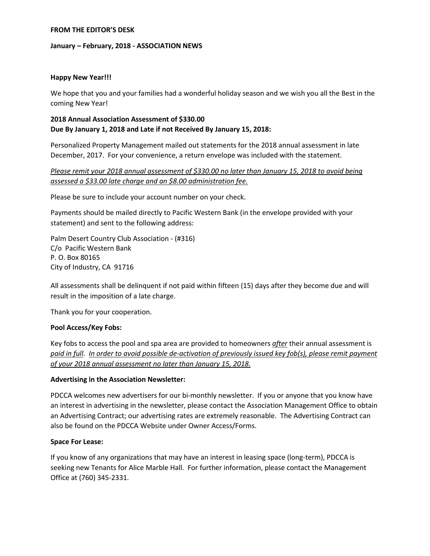#### **FROM THE EDITOR'S DESK**

#### **January – February, 2018 - ASSOCIATION NEWS**

## **Happy New Year!!!**

We hope that you and your families had a wonderful holiday season and we wish you all the Best in the coming New Year!

## **2018 Annual Association Assessment of \$330.00 Due By January 1, 2018 and Late if not Received By January 15, 2018:**

Personalized Property Management mailed out statements for the 2018 annual assessment in late December, 2017. For your convenience, a return envelope was included with the statement.

# *Please remit your 2018 annual assessment of \$330.00 no later than January 15, 2018 to avoid being assessed a \$33.00 late charge and an \$8.00 administration fee.*

Please be sure to include your account number on your check.

Payments should be mailed directly to Pacific Western Bank (in the envelope provided with your statement) and sent to the following address:

Palm Desert Country Club Association - (#316) C/o Pacific Western Bank P. O. Box 80165 City of Industry, CA 91716

All assessments shall be delinquent if not paid within fifteen (15) days after they become due and will result in the imposition of a late charge.

Thank you for your cooperation.

## **Pool Access/Key Fobs:**

Key fobs to access the pool and spa area are provided to homeowners *after* their annual assessment is *paid in full*. *In order to avoid possible de-activation of previously issued key fob(s), please remit payment of your 2018 annual assessment no later than January 15, 2018.* 

## **Advertising in the Association Newsletter:**

PDCCA welcomes new advertisers for our bi-monthly newsletter. If you or anyone that you know have an interest in advertising in the newsletter, please contact the Association Management Office to obtain an Advertising Contract; our advertising rates are extremely reasonable. The Advertising Contract can also be found on the PDCCA Website under Owner Access/Forms.

#### **Space For Lease:**

If you know of any organizations that may have an interest in leasing space (long-term), PDCCA is seeking new Tenants for Alice Marble Hall. For further information, please contact the Management Office at (760) 345-2331.